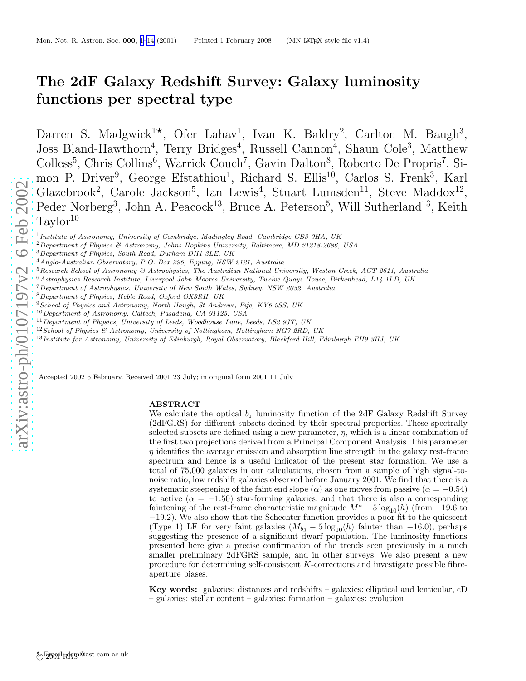# <span id="page-0-0"></span>The 2dF Galaxy Redshift Survey: Galaxy luminosity functions per spectral type

Darren S. Madgwick<sup>1\*</sup> , Ofer Lahav<sup>1</sup>, Ivan K. Baldry<sup>2</sup>, Carlton M. Baugh<sup>3</sup>, Joss Bland-Hawthorn<sup>4</sup>, Terry Bridges<sup>4</sup>, Russell Cannon<sup>4</sup>, Shaun Cole<sup>3</sup>, Matthew Colless<sup>5</sup>, Chris Collins<sup>6</sup>, Warrick Couch<sup>7</sup>, Gavin Dalton<sup>8</sup>, Roberto De Propris<sup>7</sup>, Simon P. Driver<sup>9</sup>, George Efstathiou<sup>1</sup>, Richard S. Ellis<sup>10</sup>, Carlos S. Frenk<sup>3</sup>, Karl Glazebrook<sup>2</sup>, Carole Jackson<sup>5</sup>, Ian Lewis<sup>4</sup>, Stuart Lumsden<sup>11</sup>, Steve Maddox<sup>12</sup>, Peder Norberg<sup>3</sup>, John A. Peacock<sup>13</sup>, Bruce A. Peterson<sup>5</sup>, Will Sutherland<sup>13</sup>, Keith  $Taylor^{10}$ 

<sup>1</sup> Institute of Astronomy, University of Cambridge, Madingley Road, Cambridge CB3 0HA, UK

<sup>2</sup>Department of Physics & Astronomy, Johns Hopkins University, Baltimore, MD 21218-2686, USA

- <sup>4</sup>Anglo-Australian Observatory, P.O. Box 296, Epping, NSW 2121, Australia
- $5$ Research School of Astronomy  $\mathcal B$  Astrophysics, The Australian National University, Weston Creek, ACT 2611, Australia
- <sup>6</sup>Astrophysics Research Institute, Liverpool John Moores University, Twelve Quays House, Birkenhead, L14 1LD, UK
- <sup>7</sup>Department of Astrophysics, University of New South Wales, Sydney, NSW 2052, Australia
- <sup>8</sup>Department of Physics, Keble Road, Oxford OX3RH, UK
- <sup>9</sup> School of Physics and Astronomy, North Haugh, St Andrews, Fife, KY6 9SS, UK
- $^{10}$  Department of Astronomy, Caltech, Pasadena, CA 91125, USA
- <sup>11</sup> Department of Physics, University of Leeds, Woodhouse Lane, Leeds, LS2 9JT, UK
- <sup>12</sup> School of Physics & Astronomy, University of Nottingham, Nottingham NG7 2RD, UK
- <sup>13</sup>Institute for Astronomy, University of Edinburgh, Royal Observatory, Blackford Hill, Edinburgh EH9 3HJ, UK

Accepted 2002 6 February. Received 2001 23 July; in original form 2001 11 July

## ABSTRACT

We calculate the optical  $b_j$  luminosity function of the 2dF Galaxy Redshift Survey (2dFGRS) for different subsets defined by their spectral properties. These spectrally selected subsets are defined using a new parameter,  $\eta$ , which is a linear combination of the first two projections derived from a Principal Component Analysis. This parameter  $\eta$  identifies the average emission and absorption line strength in the galaxy rest-frame spectrum and hence is a useful indicator of the present star formation. We use a total of 75,000 galaxies in our calculations, chosen from a sample of high signal-tonoise ratio, low redshift galaxies observed before January 2001. We find that there is a systematic steepening of the faint end slope ( $\alpha$ ) as one moves from passive ( $\alpha = -0.54$ ) to active  $(\alpha = -1.50)$  star-forming galaxies, and that there is also a corresponding faintening of the rest-frame characteristic magnitude  $M^* - 5 \log_{10}(h)$  (from -19.6 to −19.2). We also show that the Schechter function provides a poor fit to the quiescent (Type 1) LF for very faint galaxies  $(M_{b_1} - 5 \log_{10}(h)$  fainter than  $-16.0$ ), perhaps suggesting the presence of a significant dwarf population. The luminosity functions presented here give a precise confirmation of the trends seen previously in a much smaller preliminary 2dFGRS sample, and in other surveys. We also present a new procedure for determining self-consistent K-corrections and investigate possible fibreaperture biases.

Key words: galaxies: distances and redshifts – galaxies: elliptical and lenticular, cD – galaxies: stellar content – galaxies: formation – galaxies: evolution

<sup>3</sup>Department of Physics, South Road, Durham DH1 3LE, UK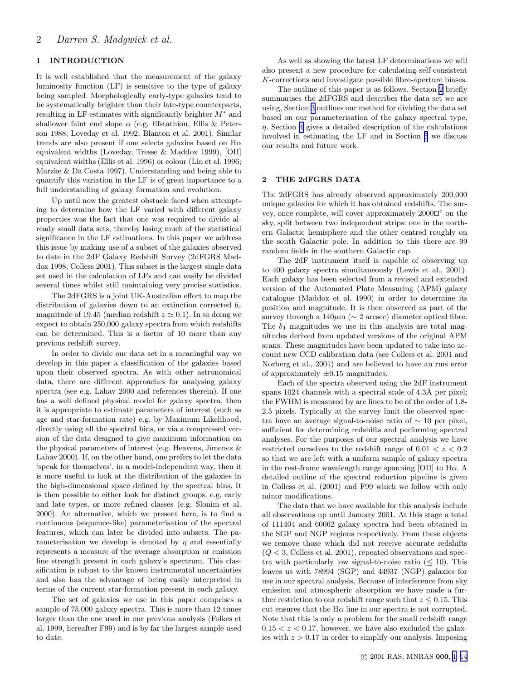# 1 INTRODUCTION

It is well established that the measurement of the galaxy luminosity function (LF) is sensitive to the type of galaxy being sampled. Morphologically early-type galaxies tend to be systematically brighter than their late-type counterparts, resulting in LF estimates with significantly brighter  $M^*$  and shallower faint end slope  $\alpha$  (e.g. Efstathiou, Ellis & Peterson 1988; Loveday et al. 1992; Blanton et al. 2001). Similar trends are also present if one selects galaxies based on  $H\alpha$ equivalent widths (Loveday, Tresse & Maddox 1999), [OII] equivalent widths (Ellis et al. 1996) or colour (Lin et al. 1996; Marzke & Da Costa 1997). Understanding and being able to quantify this variation in the LF is of great importance to a full understanding of galaxy formation and evolution.

Up until now the greatest obstacle faced when attempting to determine how the LF varied with different galaxy properties was the fact that one was required to divide already small data sets, thereby losing much of the statistical significance in the LF estimations. In this paper we address this issue by making use of a subset of the galaxies observed to date in the 2dF Galaxy Redshift Survey (2dFGRS Maddox 1998; Colless 2001). This subset is the largest single data set used in the calculation of LFs and can easily be divided several times whilst still maintaining very precise statistics.

The 2dFGRS is a joint UK-Australian effort to map the distribution of galaxies down to an extinction corrected  $b<sub>J</sub>$ magnitude of 19.45 (median redshift  $z \approx 0.1$ ). In so doing we expect to obtain 250,000 galaxy spectra from which redshifts can be determined. This is a factor of 10 more than any previous redshift survey.

In order to divide our data set in a meaningful way we develop in this paper a classification of the galaxies based upon their observed spectra. As with other astronomical data, there are different approaches for analysing galaxy spectra (see e.g. Lahav 2000 and references therein). If one has a well defined physical model for galaxy spectra, then it is appropriate to estimate parameters of interest (such as age and star-formation rate) e.g. by Maximum Likelihood, directly using all the spectral bins, or via a compressed version of the data designed to give maximum information on the physical parameters of interest (e.g. Heavens, Jimenez & Lahav 2000). If, on the other hand, one prefers to let the data 'speak for themselves', in a model-independent way, then it is more useful to look at the distribution of the galaxies in the high-dimensional space defined by the spectral bins. It is then possible to either look for distinct groups, e.g. early and late types, or more refined classes (e.g. Slonim et al. 2000). An alternative, which we present here, is to find a continuous (sequence-like) parameterisation of the spectral features, which can later be divided into subsets. The parameterisation we develop is denoted by  $\eta$  and essentially represents a measure of the average absorption or emission line strength present in each galaxy's spectrum. This classification is robust to the known instrumental uncertainties and also has the advantage of being easily interpreted in terms of the current star-formation present in each galaxy.

The set of galaxies we use in this paper comprises a sample of 75,000 galaxy spectra. This is more than 12 times larger than the one used in our previous analysis (Folkes et al. 1999, hereafter F99) and is by far the largest sample used to date.

As well as showing the latest LF determinations we will also present a new procedure for calculating self-consistent K-corrections and investigate possible fibre-aperture biases.

The outline of this paper is as follows. Section 2 briefly summarises the 2dFGRS and describes the data set we are using, Section [3](#page-2-0) outlines our method for dividing the data set based on our parameterisation of the galaxy spectral type,  $\eta$ . Section [4](#page-6-0) gives a detailed description of the calculations involved in estimating the LF and in Section [5](#page-9-0) we discuss our results and future work.

# 2 THE 2dFGRS DATA

The 2dFGRS has already observed approximately 200,000 unique galaxies for which it has obtained redshifts. The survey, once complete, will cover approximately 2000 $\Box^\circ$  on the sky, split between two independent strips: one in the northern Galactic hemisphere and the other centred roughly on the south Galactic pole. In addition to this there are 99 random fields in the southern Galactic cap.

The 2dF instrument itself is capable of observing up to 400 galaxy spectra simultaneously (Lewis et al., 2001). Each galaxy has been selected from a revised and extended version of the Automated Plate Measuring (APM) galaxy catalogue (Maddox et al. 1990) in order to determine its position and magnitude. It is then observed as part of the survey through a  $140\mu m \approx 2$  arcsec) diameter optical fibre. The  $b<sub>J</sub>$  magnitudes we use in this analysis are total magnitudes derived from updated versions of the original APM scans. These magnitudes have been updated to take into account new CCD calibration data (see Colless et al. 2001 and Norberg et al., 2001) and are believed to have an rms error of approximately  $\pm 0.15$  magnitudes.

Each of the spectra observed using the 2dF instrument spans  $1024$  channels with a spectral scale of  $4.3\text{\AA}$  per pixel; the FWHM is measured by arc lines to be of the order of 1.8- 2.5 pixels. Typically at the survey limit the observed spectra have an average signal-to-noise ratio of ∼ 10 per pixel, sufficient for determining redshifts and performing spectral analyses. For the purposes of our spectral analysis we have restricted ourselves to the redshift range of  $0.01 < z < 0.2$ so that we are left with a uniform sample of galaxy spectra in the rest-frame wavelength range spanning [OII] to  $H\alpha$ . A detailed outline of the spectral reduction pipeline is given in Colless et al. (2001) and F99 which we follow with only minor modifications.

The data that we have available for this analysis include all observations up until January 2001. At this stage a total of 111404 and 60062 galaxy spectra had been obtained in the SGP and NGP regions respectively. From these objects we remove those which did not receive accurate redshifts  $(Q < 3,$  Colless et al. 2001), repeated observations and spectra with particularly low signal-to-noise ratio  $(\leq 10)$ . This leaves us with 78994 (SGP) and 44937 (NGP) galaxies for use in our spectral analysis. Because of interference from sky emission and atmospheric absorption we have made a further restriction to our redshift range such that  $z \leq 0.15$ . This cut ensures that the  $H\alpha$  line in our spectra is not corrupted. Note that this is only a problem for the small redshift range  $0.15 < z < 0.17$ , however, we have also excluded the galaxies with  $z > 0.17$  in order to simplify our analysis. Imposing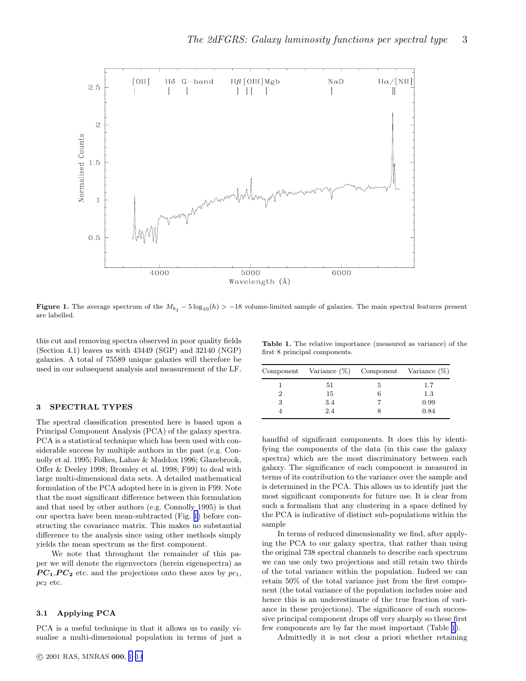<span id="page-2-0"></span>

**Figure 1.** The average spectrum of the  $M_{b,j} - 5 \log_{10}(h) > -18$  volume-limited sample of galaxies. The main spectral features present are labelled.

this cut and removing spectra observed in poor quality fields (Section 4.1) leaves us with 43449 (SGP) and 32140 (NGP) galaxies. A total of 75589 unique galaxies will therefore be used in our subsequent analysis and measurement of the LF.

#### 3 SPECTRAL TYPES

The spectral classification presented here is based upon a Principal Component Analysis (PCA) of the galaxy spectra. PCA is a statistical technique which has been used with considerable success by multiple authors in the past (e.g. Connolly et al. 1995; Folkes, Lahav & Maddox 1996; Glazebrook, Offer & Deeley 1998; Bromley et al. 1998; F99) to deal with large multi-dimensional data sets. A detailed mathematical formulation of the PCA adopted here in is given in F99. Note that the most significant difference between this formulation and that used by other authors (e.g. Connolly 1995) is that our spectra have been mean-subtracted (Fig. 1) before constructing the covariance matrix. This makes no substantial difference to the analysis since using other methods simply yields the mean spectrum as the first component.

We note that throughout the remainder of this paper we will denote the eigenvectors (herein eigenspectra) as  $PC_1, PC_2$  etc. and the projections onto these axes by  $pc_1$ , pc<sup>2</sup> etc.

## 3.1 Applying PCA

PCA is a useful technique in that it allows us to easily visualise a multi-dimensional population in terms of just a

Table 1. The relative importance (measured as variance) of the first 8 principal components.

|   | Component Variance $(\%)$ Component Variance $(\%)$ |   |      |  |  |
|---|-----------------------------------------------------|---|------|--|--|
|   | 51                                                  | 5 | 1.7  |  |  |
|   | 15                                                  | 6 | 1.3  |  |  |
| 3 | 3.4                                                 |   | 0.99 |  |  |
|   | 2.4                                                 |   | 0.84 |  |  |

handful of significant components. It does this by identifying the components of the data (in this case the galaxy spectra) which are the most discriminatory between each galaxy. The significance of each component is measured in terms of its contribution to the variance over the sample and is determined in the PCA. This allows us to identify just the most significant components for future use. It is clear from such a formalism that any clustering in a space defined by the PCA is indicative of distinct sub-populations within the sample

In terms of reduced dimensionality we find, after applying the PCA to our galaxy spectra, that rather than using the original 738 spectral channels to describe each spectrum we can use only two projections and still retain two thirds of the total variance within the population. Indeed we can retain 50% of the total variance just from the first component (the total variance of the population includes noise and hence this is an underestimate of the true fraction of variance in these projections). The significance of each successive principal component drops off very sharply so these first few components are by far the most important (Table 1).

Admittedly it is not clear a priori whether retaining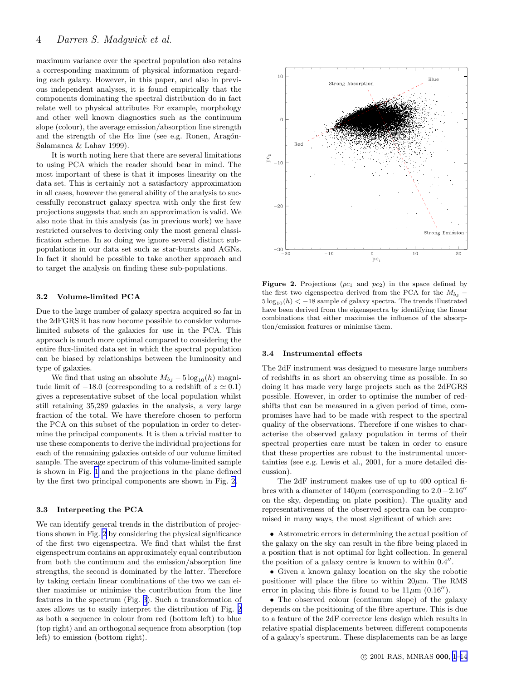maximum variance over the spectral population also retains a corresponding maximum of physical information regarding each galaxy. However, in this paper, and also in previous independent analyses, it is found empirically that the components dominating the spectral distribution do in fact relate well to physical attributes For example, morphology and other well known diagnostics such as the continuum slope (colour), the average emission/absorption line strength and the strength of the H $\alpha$  line (see e.g. Ronen, Aragón-Salamanca & Lahav 1999).

It is worth noting here that there are several limitations to using PCA which the reader should bear in mind. The most important of these is that it imposes linearity on the data set. This is certainly not a satisfactory approximation in all cases, however the general ability of the analysis to successfully reconstruct galaxy spectra with only the first few projections suggests that such an approximation is valid. We also note that in this analysis (as in previous work) we have restricted ourselves to deriving only the most general classification scheme. In so doing we ignore several distinct subpopulations in our data set such as star-bursts and AGNs. In fact it should be possible to take another approach and to target the analysis on finding these sub-populations.

#### 3.2 Volume-limited PCA

Due to the large number of galaxy spectra acquired so far in the 2dFGRS it has now become possible to consider volumelimited subsets of the galaxies for use in the PCA. This approach is much more optimal compared to considering the entire flux-limited data set in which the spectral population can be biased by relationships between the luminosity and type of galaxies.

We find that using an absolute  $M_{bJ} - 5 \log_{10}(h)$  magnitude limit of  $-18.0$  (corresponding to a redshift of  $z \approx 0.1$ ) gives a representative subset of the local population whilst still retaining 35,289 galaxies in the analysis, a very large fraction of the total. We have therefore chosen to perform the PCA on this subset of the population in order to determine the principal components. It is then a trivial matter to use these components to derive the individual projections for each of the remaining galaxies outside of our volume limited sample. The average spectrum of this volume-limited sample is shown in Fig. [1](#page-2-0) and the projections in the plane defined by the first two principal components are shown in Fig. 2.

## 3.3 Interpreting the PCA

We can identify general trends in the distribution of projections shown in Fig. 2 by considering the physical significance of the first two eigenspectra. We find that whilst the first eigenspectrum contains an approximately equal contribution from both the continuum and the emission/absorption line strengths, the second is dominated by the latter. Therefore by taking certain linear combinations of the two we can either maximise or minimise the contribution from the line features in the spectrum (Fig. [3](#page-4-0)). Such a transformation of axes allows us to easily interpret the distribution of Fig. 2 as both a sequence in colour from red (bottom left) to blue (top right) and an orthogonal sequence from absorption (top left) to emission (bottom right).



Figure 2. Projections  $(pc_1$  and  $pc_2$ ) in the space defined by the first two eigenspectra derived from the PCA for the  $M_{b_1}$  –  $5 \log_{10}(h) < -18$  sample of galaxy spectra. The trends illustrated have been derived from the eigenspectra by identifying the linear combinations that either maximise the influence of the absorption/emission features or minimise them.

#### 3.4 Instrumental effects

The 2dF instrument was designed to measure large numbers of redshifts in as short an observing time as possible. In so doing it has made very large projects such as the 2dFGRS possible. However, in order to optimise the number of redshifts that can be measured in a given period of time, compromises have had to be made with respect to the spectral quality of the observations. Therefore if one wishes to characterise the observed galaxy population in terms of their spectral properties care must be taken in order to ensure that these properties are robust to the instrumental uncertainties (see e.g. Lewis et al., 2001, for a more detailed discussion).

The 2dF instrument makes use of up to 400 optical fibres with a diameter of  $140\mu$ m (corresponding to  $2.0-2.16''$ on the sky, depending on plate position). The quality and representativeness of the observed spectra can be compromised in many ways, the most significant of which are:

• Astrometric errors in determining the actual position of the galaxy on the sky can result in the fibre being placed in a position that is not optimal for light collection. In general the position of a galaxy centre is known to within  $0.4''$ .

• Given a known galaxy location on the sky the robotic positioner will place the fibre to within  $20\mu$ m. The RMS error in placing this fibre is found to be  $11\mu m$  (0.16<sup>"</sup>).

• The observed colour (continuum slope) of the galaxy depends on the positioning of the fibre aperture. This is due to a feature of the 2dF corrector lens design which results in relative spatial displacements between different components of a galaxy's spectrum. These displacements can be as large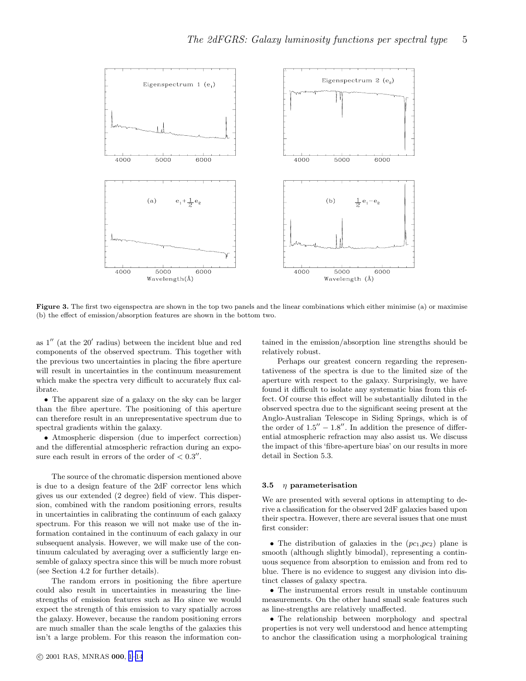<span id="page-4-0"></span>

Figure 3. The first two eigenspectra are shown in the top two panels and the linear combinations which either minimise (a) or maximise (b) the effect of emission/absorption features are shown in the bottom two.

as 1′′ (at the 20′ radius) between the incident blue and red components of the observed spectrum. This together with the previous two uncertainties in placing the fibre aperture will result in uncertainties in the continuum measurement which make the spectra very difficult to accurately flux calibrate.

• The apparent size of a galaxy on the sky can be larger than the fibre aperture. The positioning of this aperture can therefore result in an unrepresentative spectrum due to spectral gradients within the galaxy.

• Atmospheric dispersion (due to imperfect correction) and the differential atmospheric refraction during an exposure each result in errors of the order of  $< 0.3''$ .

The source of the chromatic dispersion mentioned above is due to a design feature of the 2dF corrector lens which gives us our extended (2 degree) field of view. This dispersion, combined with the random positioning errors, results in uncertainties in calibrating the continuum of each galaxy spectrum. For this reason we will not make use of the information contained in the continuum of each galaxy in our subsequent analysis. However, we will make use of the continuum calculated by averaging over a sufficiently large ensemble of galaxy spectra since this will be much more robust (see Section 4.2 for further details).

The random errors in positioning the fibre aperture could also result in uncertainties in measuring the linestrengths of emission features such as  $H\alpha$  since we would expect the strength of this emission to vary spatially across the galaxy. However, because the random positioning errors are much smaller than the scale lengths of the galaxies this isn't a large problem. For this reason the information contained in the emission/absorption line strengths should be relatively robust.

Perhaps our greatest concern regarding the representativeness of the spectra is due to the limited size of the aperture with respect to the galaxy. Surprisingly, we have found it difficult to isolate any systematic bias from this effect. Of course this effect will be substantially diluted in the observed spectra due to the significant seeing present at the Anglo-Australian Telescope in Siding Springs, which is of the order of  $1.5'' - 1.8''$ . In addition the presence of differential atmospheric refraction may also assist us. We discuss the impact of this 'fibre-aperture bias' on our results in more detail in Section 5.3.

#### 3.5  $\eta$  parameterisation

We are presented with several options in attempting to derive a classification for the observed 2dF galaxies based upon their spectra. However, there are several issues that one must first consider:

• The distribution of galaxies in the  $(pc_1,pc_2)$  plane is smooth (although slightly bimodal), representing a continuous sequence from absorption to emission and from red to blue. There is no evidence to suggest any division into distinct classes of galaxy spectra.

• The instrumental errors result in unstable continuum measurements. On the other hand small scale features such as line-strengths are relatively unaffected.

• The relationship between morphology and spectral properties is not very well understood and hence attempting to anchor the classification using a morphological training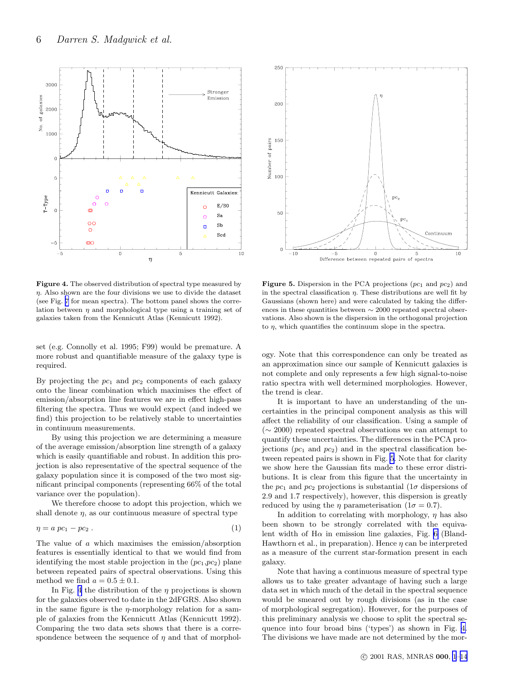

Figure 4. The observed distribution of spectral type measured by  $\eta$ . Also shown are the four divisions we use to divide the dataset (see Fig. [7](#page-7-0) for mean spectra). The bottom panel shows the correlation between  $\eta$  and morphological type using a training set of galaxies taken from the Kennicutt Atlas (Kennicutt 1992).

set (e.g. Connolly et al. 1995; F99) would be premature. A more robust and quantifiable measure of the galaxy type is required.

By projecting the  $pc<sub>1</sub>$  and  $pc<sub>2</sub>$  components of each galaxy onto the linear combination which maximises the effect of emission/absorption line features we are in effect high-pass filtering the spectra. Thus we would expect (and indeed we find) this projection to be relatively stable to uncertainties in continuum measurements.

By using this projection we are determining a measure of the average emission/absorption line strength of a galaxy which is easily quantifiable and robust. In addition this projection is also representative of the spectral sequence of the galaxy population since it is composed of the two most significant principal components (representing 66% of the total variance over the population).

We therefore choose to adopt this projection, which we shall denote  $\eta$ , as our continuous measure of spectral type

$$
\eta = a \ pc_1 - p c_2 \ . \tag{1}
$$

The value of a which maximises the emission/absorption features is essentially identical to that we would find from identifying the most stable projection in the  $(pc_1,pc_2)$  plane between repeated pairs of spectral observations. Using this method we find  $a = 0.5 \pm 0.1$ .

In Fig. 4 the distribution of the  $\eta$  projections is shown for the galaxies observed to date in the 2dFGRS. Also shown in the same figure is the  $\eta$ -morphology relation for a sample of galaxies from the Kennicutt Atlas (Kennicutt 1992). Comparing the two data sets shows that there is a correspondence between the sequence of  $\eta$  and that of morphol-



**Figure 5.** Dispersion in the PCA projections  $(pc_1$  and  $pc_2$ ) and in the spectral classification  $\eta$ . These distributions are well fit by Gaussians (shown here) and were calculated by taking the differences in these quantities between ∼ 2000 repeated spectral observations. Also shown is the dispersion in the orthogonal projection to  $\eta$ , which quantifies the continuum slope in the spectra.

ogy. Note that this correspondence can only be treated as an approximation since our sample of Kennicutt galaxies is not complete and only represents a few high signal-to-noise ratio spectra with well determined morphologies. However, the trend is clear.

It is important to have an understanding of the uncertainties in the principal component analysis as this will affect the reliability of our classification. Using a sample of (∼ 2000) repeated spectral observations we can attempt to quantify these uncertainties. The differences in the PCA projections  $(pc_1$  and  $pc_2$ ) and in the spectral classification between repeated pairs is shown in Fig. 5. Note that for clarity we show here the Gaussian fits made to these error distributions. It is clear from this figure that the uncertainty in the  $pc_1$  and  $pc_2$  projections is substantial  $(1\sigma$  dispersions of 2.9 and 1.7 respectively), however, this dispersion is greatly reduced by using the  $\eta$  parameterisation (1 $\sigma = 0.7$ ).

In addition to correlating with morphology,  $\eta$  has also been shown to be strongly correlated with the equivalent width of  $H\alpha$  in emission line galaxies, Fig. [6](#page-6-0) (Bland-Hawthorn et al., in preparation). Hence  $\eta$  can be interpreted as a measure of the current star-formation present in each galaxy.

Note that having a continuous measure of spectral type allows us to take greater advantage of having such a large data set in which much of the detail in the spectral sequence would be smeared out by rough divisions (as in the case of morphological segregation). However, for the purposes of this preliminary analysis we choose to split the spectral sequence into four broad bins ('types') as shown in Fig. 4. The divisions we have made are not determined by the mor-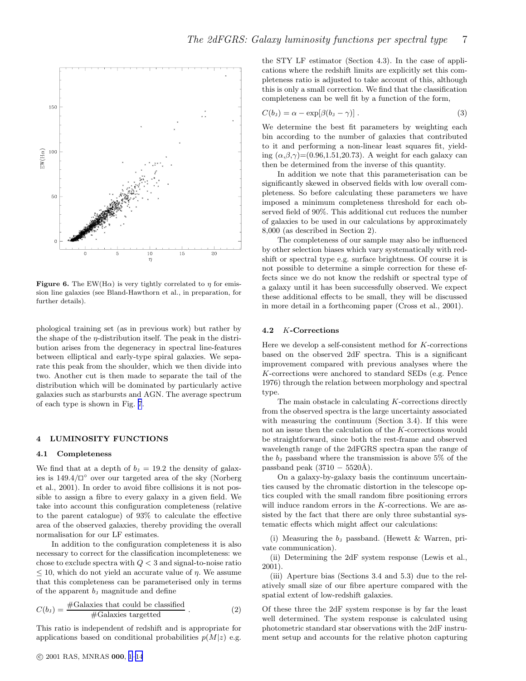<span id="page-6-0"></span>

**Figure 6.** The EW(H $\alpha$ ) is very tightly correlated to  $\eta$  for emission line galaxies (see Bland-Hawthorn et al., in preparation, for further details).

phological training set (as in previous work) but rather by the shape of the  $\eta$ -distribution itself. The peak in the distribution arises from the degeneracy in spectral line-features between elliptical and early-type spiral galaxies. We separate this peak from the shoulder, which we then divide into two. Another cut is then made to separate the tail of the distribution which will be dominated by particularly active galaxies such as starbursts and AGN. The average spectrum of each type is shown in Fig. [7](#page-7-0).

# 4 LUMINOSITY FUNCTIONS

### 4.1 Completeness

We find that at a depth of  $b<sub>J</sub> = 19.2$  the density of galaxies is 149.4/⊓⊔ ◦ over our targeted area of the sky (Norberg et al., 2001). In order to avoid fibre collisions it is not possible to assign a fibre to every galaxy in a given field. We take into account this configuration completeness (relative to the parent catalogue) of 93% to calculate the effective area of the observed galaxies, thereby providing the overall normalisation for our LF estimates.

In addition to the configuration completeness it is also necessary to correct for the classification incompleteness: we chose to exclude spectra with  $Q < 3$  and signal-to-noise ratio  $\leq$  10, which do not yield an accurate value of  $\eta$ . We assume that this completeness can be parameterised only in terms of the apparent  $b_j$  magnitude and define

$$
C(b_{J}) = \frac{\text{\#Galaxies that could be classified}}{\text{\#Galaxies targeted}}.
$$
 (2)

This ratio is independent of redshift and is appropriate for applications based on conditional probabilities  $p(M|z)$  e.g.

$$
C(bJ) = \alpha - \exp[\beta(bJ - \gamma)].
$$
\n(3)

We determine the best fit parameters by weighting each bin according to the number of galaxies that contributed to it and performing a non-linear least squares fit, yielding  $(\alpha,\beta,\gamma)=(0.96,1.51,20.73)$ . A weight for each galaxy can then be determined from the inverse of this quantity.

In addition we note that this parameterisation can be significantly skewed in observed fields with low overall completeness. So before calculating these parameters we have imposed a minimum completeness threshold for each observed field of 90%. This additional cut reduces the number of galaxies to be used in our calculations by approximately 8,000 (as described in Section 2).

The completeness of our sample may also be influenced by other selection biases which vary systematically with redshift or spectral type e.g. surface brightness. Of course it is not possible to determine a simple correction for these effects since we do not know the redshift or spectral type of a galaxy until it has been successfully observed. We expect these additional effects to be small, they will be discussed in more detail in a forthcoming paper (Cross et al., 2001).

#### 4.2 K-Corrections

Here we develop a self-consistent method for K-corrections based on the observed 2dF spectra. This is a significant improvement compared with previous analyses where the K-corrections were anchored to standard SEDs (e.g. Pence 1976) through the relation between morphology and spectral type.

The main obstacle in calculating K-corrections directly from the observed spectra is the large uncertainty associated with measuring the continuum (Section 3.4). If this were not an issue then the calculation of the K-corrections would be straightforward, since both the rest-frame and observed wavelength range of the 2dFGRS spectra span the range of the  $b<sub>J</sub>$  passband where the transmission is above 5% of the passband peak  $(3710 - 5520\text{\AA})$ .

On a galaxy-by-galaxy basis the continuum uncertainties caused by the chromatic distortion in the telescope optics coupled with the small random fibre positioning errors will induce random errors in the K-corrections. We are assisted by the fact that there are only three substantial systematic effects which might affect our calculations:

(i) Measuring the  $b<sub>J</sub>$  passband. (Hewett & Warren, private communication).

(ii) Determining the 2dF system response (Lewis et al., 2001).

(iii) Aperture bias (Sections 3.4 and 5.3) due to the relatively small size of our fibre aperture compared with the spatial extent of low-redshift galaxies.

Of these three the 2dF system response is by far the least well determined. The system response is calculated using photometric standard star observations with the 2dF instrument setup and accounts for the relative photon capturing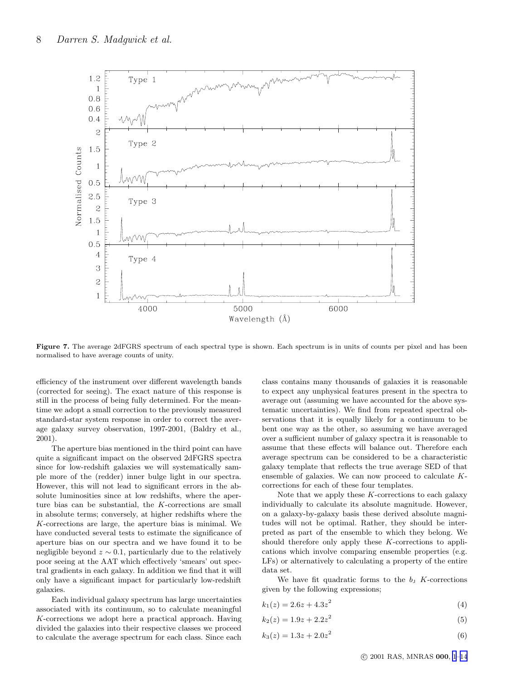<span id="page-7-0"></span>

Figure 7. The average 2dFGRS spectrum of each spectral type is shown. Each spectrum is in units of counts per pixel and has been normalised to have average counts of unity.

efficiency of the instrument over different wavelength bands (corrected for seeing). The exact nature of this response is still in the process of being fully determined. For the meantime we adopt a small correction to the previously measured standard-star system response in order to correct the average galaxy survey observation, 1997-2001, (Baldry et al., 2001).

The aperture bias mentioned in the third point can have quite a significant impact on the observed 2dFGRS spectra since for low-redshift galaxies we will systematically sample more of the (redder) inner bulge light in our spectra. However, this will not lead to significant errors in the absolute luminosities since at low redshifts, where the aperture bias can be substantial, the K-corrections are small in absolute terms; conversely, at higher redshifts where the K-corrections are large, the aperture bias is minimal. We have conducted several tests to estimate the significance of aperture bias on our spectra and we have found it to be negligible beyond  $z \sim 0.1$ , particularly due to the relatively poor seeing at the AAT which effectively 'smears' out spectral gradients in each galaxy. In addition we find that it will only have a significant impact for particularly low-redshift galaxies.

Each individual galaxy spectrum has large uncertainties associated with its continuum, so to calculate meaningful K-corrections we adopt here a practical approach. Having divided the galaxies into their respective classes we proceed to calculate the average spectrum for each class. Since each class contains many thousands of galaxies it is reasonable to expect any unphysical features present in the spectra to average out (assuming we have accounted for the above systematic uncertainties). We find from repeated spectral observations that it is equally likely for a continuum to be bent one way as the other, so assuming we have averaged over a sufficient number of galaxy spectra it is reasonable to assume that these effects will balance out. Therefore each average spectrum can be considered to be a characteristic galaxy template that reflects the true average SED of that ensemble of galaxies. We can now proceed to calculate Kcorrections for each of these four templates.

Note that we apply these  $K$ -corrections to each galaxy individually to calculate its absolute magnitude. However, on a galaxy-by-galaxy basis these derived absolute magnitudes will not be optimal. Rather, they should be interpreted as part of the ensemble to which they belong. We should therefore only apply these  $K$ -corrections to applications which involve comparing ensemble properties (e.g. LFs) or alternatively to calculating a property of the entire data set.

We have fit quadratic forms to the  $b<sub>J</sub>$  K-corrections given by the following expressions;

- $k_1(z) = 2.6z + 4.3z^2$ (4)
- $k_2(z) = 1.9z + 2.2z^2$ (5)
- $k_3(z) = 1.3z + 2.0z^2$ (6)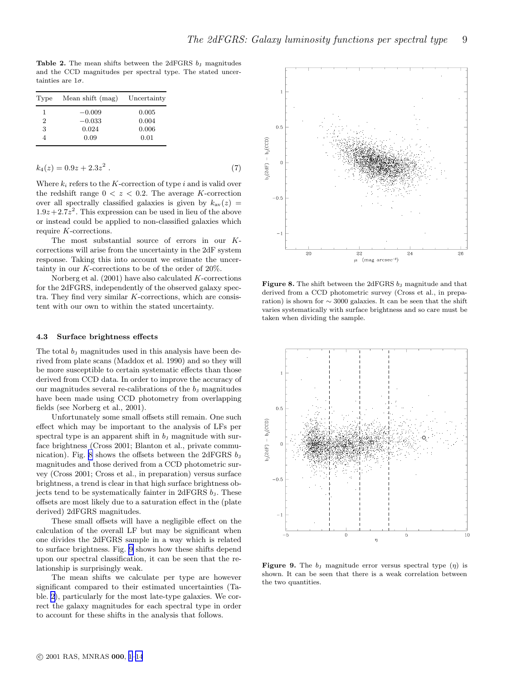Table 2. The mean shifts between the 2dFGRS  $b<sub>J</sub>$  magnitudes and the CCD magnitudes per spectral type. The stated uncertainties are  $1\sigma$ .

| Type | Mean shift (mag) | Uncertainty |
|------|------------------|-------------|
| 1    | $-0.009$         | 0.005       |
| 2    | $-0.033$         | 0.004       |
| 3    | 0.024            | 0.006       |
|      | 0.09             | 0.01        |

$$
k_4(z) = 0.9z + 2.3z^2 \tag{7}
$$

Where  $k_i$  refers to the K-correction of type i and is valid over the redshift range  $0 < z < 0.2$ . The average K-correction over all spectrally classified galaxies is given by  $k_{av}(z) =$  $1.9z + 2.7z^2$ . This expression can be used in lieu of the above or instead could be applied to non-classified galaxies which require K-corrections.

The most substantial source of errors in our Kcorrections will arise from the uncertainty in the 2dF system response. Taking this into account we estimate the uncertainty in our K-corrections to be of the order of 20%.

Norberg et al.  $(2001)$  have also calculated K-corrections for the 2dFGRS, independently of the observed galaxy spectra. They find very similar K-corrections, which are consistent with our own to within the stated uncertainty.

#### 4.3 Surface brightness effects

The total  $b<sub>J</sub>$  magnitudes used in this analysis have been derived from plate scans (Maddox et al. 1990) and so they will be more susceptible to certain systematic effects than those derived from CCD data. In order to improve the accuracy of our magnitudes several re-calibrations of the  $b<sub>J</sub>$  magnitudes have been made using CCD photometry from overlapping fields (see Norberg et al., 2001).

Unfortunately some small offsets still remain. One such effect which may be important to the analysis of LFs per spectral type is an apparent shift in  $b<sub>J</sub>$  magnitude with surface brightness (Cross 2001; Blanton et al., private communication). Fig. 8 shows the offsets between the 2dFGRS  $b<sub>J</sub>$ magnitudes and those derived from a CCD photometric survey (Cross 2001; Cross et al., in preparation) versus surface brightness, a trend is clear in that high surface brightness objects tend to be systematically fainter in  $2dFGRS b<sub>J</sub>$ . These offsets are most likely due to a saturation effect in the (plate derived) 2dFGRS magnitudes.

These small offsets will have a negligible effect on the calculation of the overall LF but may be significant when one divides the 2dFGRS sample in a way which is related to surface brightness. Fig. 9 shows how these shifts depend upon our spectral classification, it can be seen that the relationship is surprisingly weak.

The mean shifts we calculate per type are however significant compared to their estimated uncertainties (Table. 2), particularly for the most late-type galaxies. We correct the galaxy magnitudes for each spectral type in order to account for these shifts in the analysis that follows.



**Figure 8.** The shift between the 2dFGRS  $b<sub>J</sub>$  magnitude and that derived from a CCD photometric survey (Cross et al., in preparation) is shown for  $\sim$  3000 galaxies. It can be seen that the shift varies systematically with surface brightness and so care must be taken when dividing the sample.



**Figure 9.** The  $b<sub>J</sub>$  magnitude error versus spectral type  $(\eta)$  is shown. It can be seen that there is a weak correlation between the two quantities.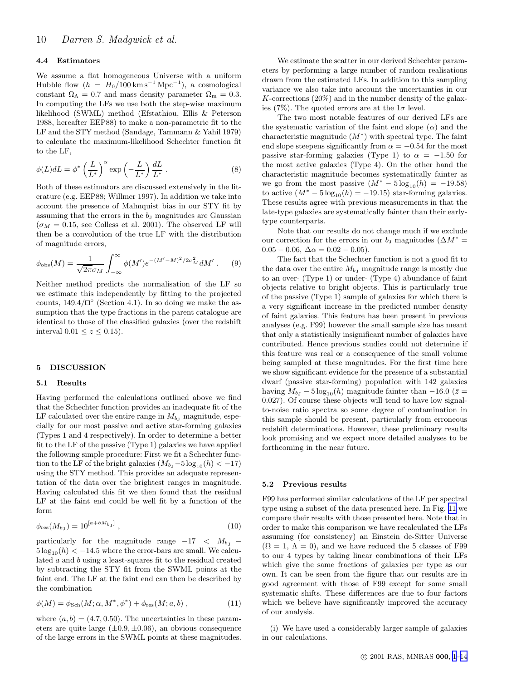## <span id="page-9-0"></span>4.4 Estimators

We assume a flat homogeneous Universe with a uniform Hubble flow  $(h = H_0/100 \text{ km s}^{-1} \text{ Mpc}^{-1})$ , a cosmological constant  $\Omega_{\Lambda} = 0.7$  and mass density parameter  $\Omega_{\rm m} = 0.3$ . In computing the LFs we use both the step-wise maximum likelihood (SWML) method (Efstathiou, Ellis & Peterson 1988, hereafter EEP88) to make a non-parametric fit to the LF and the STY method (Sandage, Tammann & Yahil 1979) to calculate the maximum-likelihood Schechter function fit to the LF,

$$
\phi(L)dL = \phi^* \left(\frac{L}{L^*}\right)^\alpha \exp\left(-\frac{L}{L^*}\right) \frac{dL}{L^*} \,. \tag{8}
$$

Both of these estimators are discussed extensively in the literature (e.g. EEP88; Willmer 1997). In addition we take into account the presence of Malmquist bias in our STY fit by assuming that the errors in the  $b<sub>J</sub>$  magnitudes are Gaussian  $(\sigma_M = 0.15$ , see Colless et al. 2001). The observed LF will then be a convolution of the true LF with the distribution of magnitude errors,

$$
\phi_{\rm obs}(M) = \frac{1}{\sqrt{2\pi}\sigma_M} \int_{-\infty}^{\infty} \phi(M') e^{-(M'-M)^2/2\sigma_M^2} dM' \ . \tag{9}
$$

Neither method predicts the normalisation of the LF so we estimate this independently by fitting to the projected counts,  $149.4/\square$ <sup>°</sup> (Section 4.1). In so doing we make the assumption that the type fractions in the parent catalogue are identical to those of the classified galaxies (over the redshift interval  $0.01 \leq z \leq 0.15$ ).

#### 5 DISCUSSION

## 5.1 Results

Having performed the calculations outlined above we find that the Schechter function provides an inadequate fit of the LF calculated over the entire range in  $M_{b_1}$  magnitude, especially for our most passive and active star-forming galaxies (Types 1 and 4 respectively). In order to determine a better fit to the LF of the passive (Type 1) galaxies we have applied the following simple procedure: First we fit a Schechter function to the LF of the bright galaxies  $(M_{bJ} - 5 \log_{10}(h) < -17)$ using the STY method. This provides an adequate representation of the data over the brightest ranges in magnitude. Having calculated this fit we then found that the residual LF at the faint end could be well fit by a function of the form

$$
\phi_{\rm res}(M_{b_{\rm J}}) = 10^{[a+bM_{b_{\rm J}}]} \,, \tag{10}
$$

particularly for the magnitude range  $-17 < M_{bJ}$  –  $5 \log_{10}(h) < -14.5$  where the error-bars are small. We calculated a and b using a least-squares fit to the residual created by subtracting the STY fit from the SWML points at the faint end. The LF at the faint end can then be described by the combination

$$
\phi(M) = \phi_{\text{Sch}}(M; \alpha, M^*, \phi^*) + \phi_{\text{res}}(M; a, b) , \qquad (11)
$$

where  $(a, b) = (4.7, 0.50)$ . The uncertainties in these parameters are quite large  $(\pm 0.9, \pm 0.06)$ , an obvious consequence of the large errors in the SWML points at these magnitudes.

We estimate the scatter in our derived Schechter parameters by performing a large number of random realisations drawn from the estimated LFs. In addition to this sampling variance we also take into account the uncertainties in our  $K$ -corrections (20%) and in the number density of the galaxies (7%). The quoted errors are at the  $1\sigma$  level.

The two most notable features of our derived LFs are the systematic variation of the faint end slope  $(\alpha)$  and the characteristic magnitude  $(M^*)$  with spectral type. The faint end slope steepens significantly from  $\alpha = -0.54$  for the most passive star-forming galaxies (Type 1) to  $\alpha = -1.50$  for the most active galaxies (Type 4). On the other hand the characteristic magnitude becomes systematically fainter as we go from the most passive  $(M^* - 5 \log_{10}(h) = -19.58)$ to active  $(M^* - 5 \log_{10}(h) = -19.15)$  star-forming galaxies. These results agree with previous measurements in that the late-type galaxies are systematically fainter than their earlytype counterparts.

Note that our results do not change much if we exclude our correction for the errors in our  $b<sub>J</sub>$  magnitudes ( $\Delta M^*$  =  $0.05 - 0.06$ ,  $\Delta \alpha = 0.02 - 0.05$ ).

The fact that the Schechter function is not a good fit to the data over the entire  $M_{b,j}$  magnitude range is mostly due to an over- (Type 1) or under- (Type 4) abundance of faint objects relative to bright objects. This is particularly true of the passive (Type 1) sample of galaxies for which there is a very significant increase in the predicted number density of faint galaxies. This feature has been present in previous analyses (e.g. F99) however the small sample size has meant that only a statistically insignificant number of galaxies have contributed. Hence previous studies could not determine if this feature was real or a consequence of the small volume being sampled at these magnitudes. For the first time here we show significant evidence for the presence of a substantial dwarf (passive star-forming) population with 142 galaxies having  $M_{b_1} - 5 \log_{10}(h)$  magnitude fainter than  $-16.0$  ( $\bar{z} =$ 0.027). Of course these objects will tend to have low signalto-noise ratio spectra so some degree of contamination in this sample should be present, particularly from erroneous redshift determinations. However, these preliminary results look promising and we expect more detailed analyses to be forthcoming in the near future.

#### 5.2 Previous results

F99 has performed similar calculations of the LF per spectral type using a subset of the data presented here. In Fig. [11](#page-11-0) we compare their results with those presented here. Note that in order to make this comparison we have recalculated the LFs assuming (for consistency) an Einstein de-Sitter Universe  $(\Omega = 1, \Lambda = 0)$ , and we have reduced the 5 classes of F99 to our 4 types by taking linear combinations of their LFs which give the same fractions of galaxies per type as our own. It can be seen from the figure that our results are in good agreement with those of F99 except for some small systematic shifts. These differences are due to four factors which we believe have significantly improved the accuracy of our analysis.

(i) We have used a considerably larger sample of galaxies in our calculations.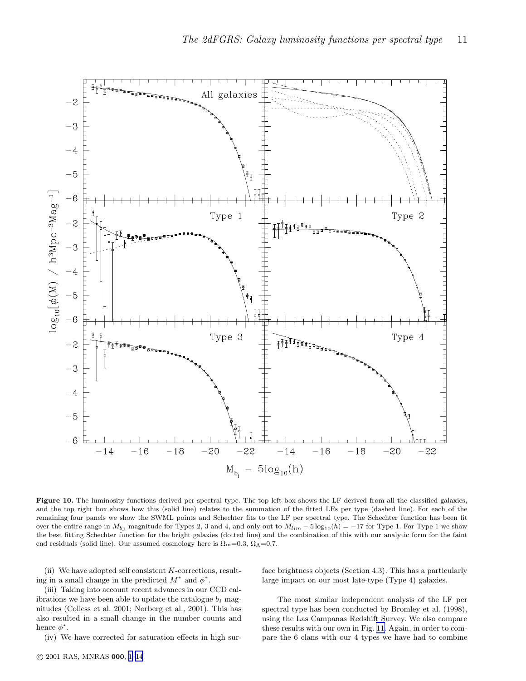

Figure 10. The luminosity functions derived per spectral type. The top left box shows the LF derived from all the classified galaxies, and the top right box shows how this (solid line) relates to the summation of the fitted LFs per type (dashed line). For each of the remaining four panels we show the SWML points and Schechter fits to the LF per spectral type. The Schechter function has been fit over the entire range in  $M_{b}$  magnitude for Types 2, 3 and 4, and only out to  $M_{lim} - 5 \log_{10}(h) = -17$  for Type 1. For Type 1 we show the best fitting Schechter function for the bright galaxies (dotted line) and the combination of this with our analytic form for the faint end residuals (solid line). Our assumed cosmology here is  $\Omega_m=0.3$ ,  $\Omega_{\Lambda}=0.7$ .

(ii) We have adopted self consistent K-corrections, resulting in a small change in the predicted  $M^*$  and  $\phi^*$ .

face brightness objects (Section 4.3). This has a particularly large impact on our most late-type (Type 4) galaxies.

(iii) Taking into account recent advances in our CCD calibrations we have been able to update the catalogue  $b<sub>J</sub>$  magnitudes (Colless et al. 2001; Norberg et al., 2001). This has also resulted in a small change in the number counts and hence  $\phi^*$ .

(iv) We have corrected for saturation effects in high sur-

The most similar independent analysis of the LF per spectral type has been conducted by Bromley et al. (1998), using the Las Campanas Redshift Survey. We also compare these results with our own in Fig. [11.](#page-11-0) Again, in order to compare the 6 clans with our 4 types we have had to combine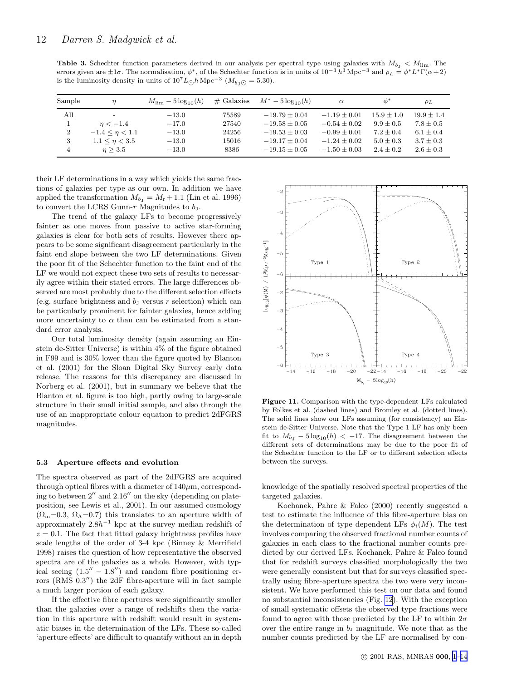<span id="page-11-0"></span>**Table 3.** Schechter function parameters derived in our analysis per spectral type using galaxies with  $M_{b,j} < M_{\text{lim}}$ . The errors given are  $\pm 1\sigma$ . The normalisation,  $\phi^*$ , of the Schechter function is in units of  $10^{-3} h^3$  Mpc<sup>-3</sup> and  $\rho_L = \phi^* L^* \Gamma(\alpha + 2)$ is the luminosity density in units of  $10^7 L_{\odot} h \text{ Mpc}^{-3}$  ( $M_{b_J \odot} = 5.30$ ).

| Sample         | $\eta$                    | $M_{\rm lim} - 5\log_{10}(h)$ | $#$ Galaxies | $M^* - 5\log_{10}(h)$ | $\alpha$         | $\phi^*$       | $\rho_L$      |
|----------------|---------------------------|-------------------------------|--------------|-----------------------|------------------|----------------|---------------|
| All            | $\overline{\phantom{a}}$  | $-13.0$                       | 75589        | $-19.79 \pm 0.04$     | $-1.19 + 0.01$   | $15.9 \pm 1.0$ | $19.9 + 1.4$  |
|                | $n < -1.4$                | $-17.0$                       | 27540        | $-19.58 + 0.05$       | $-0.54 + 0.02$   | $9.9 + 0.5$    | $7.8 \pm 0.5$ |
| $\overline{2}$ | $-1.4 \leq \eta \leq 1.1$ | $-13.0$                       | 24256        | $-19.53 \pm 0.03$     | $-0.99 \pm 0.01$ | $7.2 + 0.4$    | $6.1 \pm 0.4$ |
| 3              | $1.1 \leq \eta < 3.5$     | $-13.0$                       | 15016        | $-19.17 \pm 0.04$     | $-1.24 + 0.02$   | $5.0 \pm 0.3$  | $3.7 \pm 0.3$ |
| 4              | n > 3.5                   | $-13.0$                       | 8386         | $-19.15 + 0.05$       | $-1.50 + 0.03$   | $2.4 + 0.2$    | $2.6 \pm 0.3$ |
|                |                           |                               |              |                       |                  |                |               |

their LF determinations in a way which yields the same fractions of galaxies per type as our own. In addition we have applied the transformation  $M_{b_J} = M_r + 1.1$  (Lin et al. 1996) to convert the LCRS Gunn- $r$  Magnitudes to  $b_J$ .

The trend of the galaxy LFs to become progressively fainter as one moves from passive to active star-forming galaxies is clear for both sets of results. However there appears to be some significant disagreement particularly in the faint end slope between the two LF determinations. Given the poor fit of the Schechter function to the faint end of the LF we would not expect these two sets of results to necessarily agree within their stated errors. The large differences observed are most probably due to the different selection effects (e.g. surface brightness and  $b<sub>J</sub>$  versus r selection) which can be particularly prominent for fainter galaxies, hence adding more uncertainty to  $\alpha$  than can be estimated from a standard error analysis.

Our total luminosity density (again assuming an Einstein de-Sitter Universe) is within 4% of the figure obtained in F99 and is 30% lower than the figure quoted by Blanton et al. (2001) for the Sloan Digital Sky Survey early data release. The reasons for this discrepancy are discussed in Norberg et al. (2001), but in summary we believe that the Blanton et al. figure is too high, partly owing to large-scale structure in their small initial sample, and also through the use of an inappropriate colour equation to predict 2dFGRS magnitudes.

#### 5.3 Aperture effects and evolution

The spectra observed as part of the 2dFGRS are acquired through optical fibres with a diameter of  $140 \mu m$ , corresponding to between 2′′ and 2.16′′ on the sky (depending on plateposition, see Lewis et al., 2001). In our assumed cosmology  $(\Omega_{\rm m}=0.3, \Omega_{\Lambda}=0.7)$  this translates to an aperture width of approximately  $2.8h^{-1}$  kpc at the survey median redshift of  $z = 0.1$ . The fact that fitted galaxy brightness profiles have scale lengths of the order of 3-4 kpc (Binney & Merrifield 1998) raises the question of how representative the observed spectra are of the galaxies as a whole. However, with typical seeing  $(1.5'' - 1.8'')$  and random fibre positioning errors (RMS 0.3") the 2dF fibre-aperture will in fact sample a much larger portion of each galaxy.

If the effective fibre apertures were significantly smaller than the galaxies over a range of redshifts then the variation in this aperture with redshift would result in systematic biases in the determination of the LFs. These so-called 'aperture effects' are difficult to quantify without an in depth



Figure 11. Comparison with the type-dependent LFs calculated by Folkes et al. (dashed lines) and Bromley et al. (dotted lines). The solid lines show our LFs assuming (for consistency) an Einstein de-Sitter Universe. Note that the Type 1 LF has only been fit to  $M_{b_1} - 5 \log_{10}(h) < -17$ . The disagreement between the different sets of determinations may be due to the poor fit of the Schechter function to the LF or to different selection effects between the surveys.

knowledge of the spatially resolved spectral properties of the targeted galaxies.

Kochanek, Pahre & Falco (2000) recently suggested a test to estimate the influence of this fibre-aperture bias on the determination of type dependent LFs  $\phi_i(M)$ . The test involves comparing the observed fractional number counts of galaxies in each class to the fractional number counts predicted by our derived LFs. Kochanek, Pahre & Falco found that for redshift surveys classified morphologically the two were generally consistent but that for surveys classified spectrally using fibre-aperture spectra the two were very inconsistent. We have performed this test on our data and found no substantial inconsistencies (Fig. [12](#page-12-0)). With the exception of small systematic offsets the observed type fractions were found to agree with those predicted by the LF to within  $2\sigma$ over the entire range in  $b<sub>J</sub>$  magnitude. We note that as the number counts predicted by the LF are normalised by con-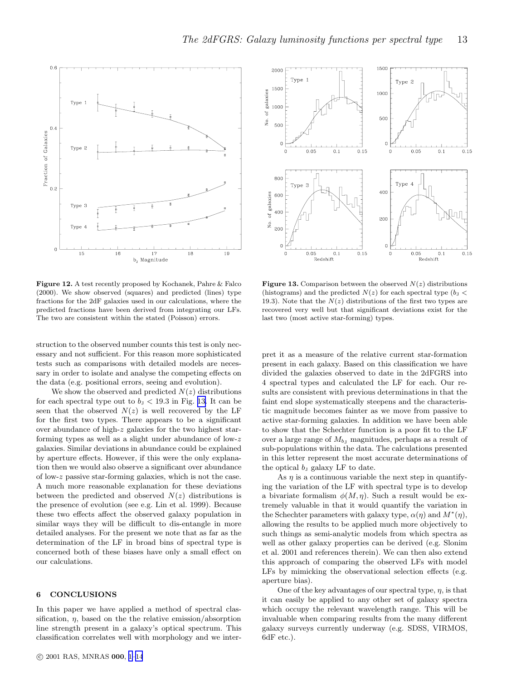

<span id="page-12-0"></span>

Figure 12. A test recently proposed by Kochanek, Pahre & Falco (2000). We show observed (squares) and predicted (lines) type fractions for the 2dF galaxies used in our calculations, where the predicted fractions have been derived from integrating our LFs. The two are consistent within the stated (Poisson) errors.

struction to the observed number counts this test is only necessary and not sufficient. For this reason more sophisticated tests such as comparisons with detailed models are necessary in order to isolate and analyse the competing effects on the data (e.g. positional errors, seeing and evolution).

We show the observed and predicted  $N(z)$  distributions for each spectral type out to  $b<sub>J</sub> < 19.3$  in Fig. 13. It can be seen that the observed  $N(z)$  is well recovered by the LF for the first two types. There appears to be a significant over abundance of high-z galaxies for the two highest starforming types as well as a slight under abundance of low-z galaxies. Similar deviations in abundance could be explained by aperture effects. However, if this were the only explanation then we would also observe a significant over abundance of low-z passive star-forming galaxies, which is not the case. A much more reasonable explanation for these deviations between the predicted and observed  $N(z)$  distributions is the presence of evolution (see e.g. Lin et al. 1999). Because these two effects affect the observed galaxy population in similar ways they will be difficult to dis-entangle in more detailed analyses. For the present we note that as far as the determination of the LF in broad bins of spectral type is concerned both of these biases have only a small effect on our calculations.

# 6 CONCLUSIONS

In this paper we have applied a method of spectral classification,  $\eta$ , based on the the relative emission/absorption line strength present in a galaxy's optical spectrum. This classification correlates well with morphology and we inter-



**Figure 13.** Comparison between the observed  $N(z)$  distributions (histograms) and the predicted  $N(z)$  for each spectral type  $(b<sub>J</sub> <$ 19.3). Note that the  $N(z)$  distributions of the first two types are recovered very well but that significant deviations exist for the last two (most active star-forming) types.

pret it as a measure of the relative current star-formation present in each galaxy. Based on this classification we have divided the galaxies observed to date in the 2dFGRS into 4 spectral types and calculated the LF for each. Our results are consistent with previous determinations in that the faint end slope systematically steepens and the characteristic magnitude becomes fainter as we move from passive to active star-forming galaxies. In addition we have been able to show that the Schechter function is a poor fit to the LF over a large range of  $M_{b}$  magnitudes, perhaps as a result of sub-populations within the data. The calculations presented in this letter represent the most accurate determinations of the optical  $b<sub>J</sub>$  galaxy LF to date.

As  $\eta$  is a continuous variable the next step in quantifying the variation of the LF with spectral type is to develop a bivariate formalism  $\phi(M, \eta)$ . Such a result would be extremely valuable in that it would quantify the variation in the Schechter parameters with galaxy type,  $\alpha(\eta)$  and  $M^*(\eta)$ , allowing the results to be applied much more objectively to such things as semi-analytic models from which spectra as well as other galaxy properties can be derived (e.g. Slonim et al. 2001 and references therein). We can then also extend this approach of comparing the observed LFs with model LFs by mimicking the observational selection effects (e.g. aperture bias).

One of the key advantages of our spectral type,  $\eta$ , is that it can easily be applied to any other set of galaxy spectra which occupy the relevant wavelength range. This will be invaluable when comparing results from the many different galaxy surveys currently underway (e.g. SDSS, VIRMOS, 6dF etc.).